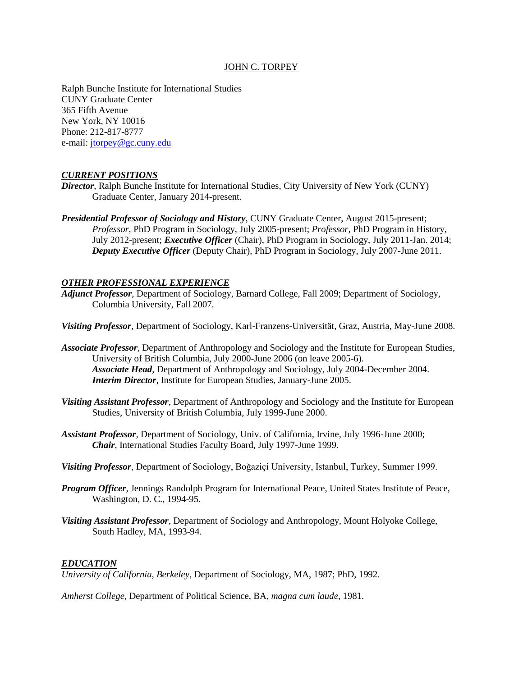# JOHN C. TORPEY

Ralph Bunche Institute for International Studies CUNY Graduate Center 365 Fifth Avenue New York, NY 10016 Phone: 212-817-8777 e-mail: [jtorpey@gc.cuny.edu](mailto:jtorpey@gc.cuny.edu)

# *CURRENT POSITIONS*

- *Director*, Ralph Bunche Institute for International Studies, City University of New York (CUNY) Graduate Center, January 2014-present.
- *Presidential Professor of Sociology and History*, CUNY Graduate Center, August 2015-present; *Professor*, PhD Program in Sociology, July 2005-present; *Professor*, PhD Program in History, July 2012-present; *Executive Officer* (Chair), PhD Program in Sociology, July 2011-Jan. 2014; *Deputy Executive Officer* (Deputy Chair), PhD Program in Sociology, July 2007-June 2011.

# *OTHER PROFESSIONAL EXPERIENCE*

- *Adjunct Professor*, Department of Sociology, Barnard College, Fall 2009; Department of Sociology, Columbia University, Fall 2007.
- *Visiting Professor*, Department of Sociology, Karl-Franzens-Universität, Graz, Austria, May-June 2008.
- *Associate Professor*, Department of Anthropology and Sociology and the Institute for European Studies, University of British Columbia, July 2000-June 2006 (on leave 2005-6). *Associate Head*, Department of Anthropology and Sociology, July 2004-December 2004. *Interim Director*, Institute for European Studies, January-June 2005.
- *Visiting Assistant Professor*, Department of Anthropology and Sociology and the Institute for European Studies, University of British Columbia, July 1999-June 2000.
- *Assistant Professor,* Department of Sociology, Univ. of California, Irvine, July 1996-June 2000; *Chair*, International Studies Faculty Board, July 1997-June 1999.
- *Visiting Professor*, Department of Sociology, Boğaziçi University, Istanbul, Turkey, Summer 1999.
- *Program Officer*, Jennings Randolph Program for International Peace, United States Institute of Peace, Washington, D. C., 1994-95.
- *Visiting Assistant Professor*, Department of Sociology and Anthropology, Mount Holyoke College, South Hadley, MA, 1993-94.

## *EDUCATION*

*University of California, Berkeley*, Department of Sociology, MA, 1987; PhD, 1992.

*Amherst College*, Department of Political Science, BA, *magna cum laude*, 1981.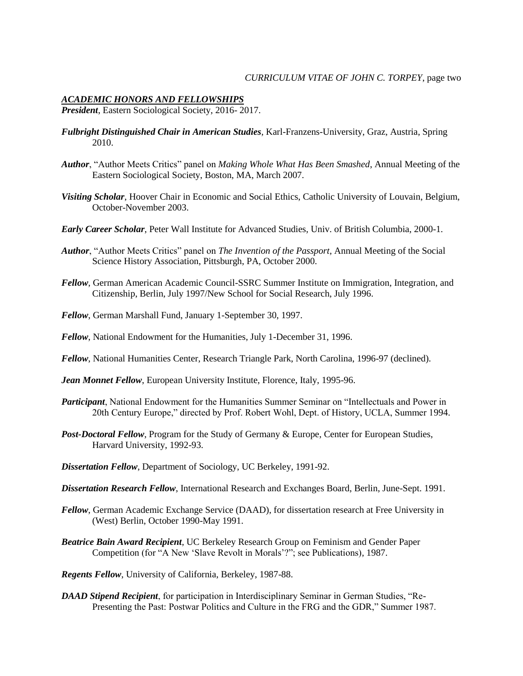# *ACADEMIC HONORS AND FELLOWSHIPS*

*President*, Eastern Sociological Society, 2016- 2017.

- *Fulbright Distinguished Chair in American Studies*, Karl-Franzens-University, Graz, Austria, Spring 2010.
- *Author*, "Author Meets Critics" panel on *Making Whole What Has Been Smashed*, Annual Meeting of the Eastern Sociological Society, Boston, MA, March 2007.
- *Visiting Scholar*, Hoover Chair in Economic and Social Ethics, Catholic University of Louvain, Belgium, October-November 2003.
- *Early Career Scholar*, Peter Wall Institute for Advanced Studies, Univ. of British Columbia, 2000-1.
- *Author*, "Author Meets Critics" panel on *The Invention of the Passport*, Annual Meeting of the Social Science History Association, Pittsburgh, PA, October 2000.
- *Fellow*, German American Academic Council-SSRC Summer Institute on Immigration, Integration, and Citizenship, Berlin, July 1997/New School for Social Research, July 1996.
- *Fellow*, German Marshall Fund, January 1-September 30, 1997.
- *Fellow*, National Endowment for the Humanities, July 1-December 31, 1996.
- *Fellow*, National Humanities Center, Research Triangle Park, North Carolina, 1996-97 (declined).
- *Jean Monnet Fellow*, European University Institute, Florence, Italy, 1995-96.
- *Participant*, National Endowment for the Humanities Summer Seminar on "Intellectuals and Power in 20th Century Europe," directed by Prof. Robert Wohl, Dept. of History, UCLA, Summer 1994.
- *Post-Doctoral Fellow*, Program for the Study of Germany & Europe, Center for European Studies, Harvard University, 1992-93.
- *Dissertation Fellow*, Department of Sociology, UC Berkeley, 1991-92.
- *Dissertation Research Fellow*, International Research and Exchanges Board, Berlin, June-Sept. 1991.
- *Fellow*, German Academic Exchange Service (DAAD), for dissertation research at Free University in (West) Berlin, October 1990-May 1991.
- *Beatrice Bain Award Recipient*, UC Berkeley Research Group on Feminism and Gender Paper Competition (for "A New 'Slave Revolt in Morals'?"; see Publications), 1987.
- *Regents Fellow*, University of California, Berkeley, 1987-88.
- *DAAD Stipend Recipient*, for participation in Interdisciplinary Seminar in German Studies, "Re-Presenting the Past: Postwar Politics and Culture in the FRG and the GDR," Summer 1987.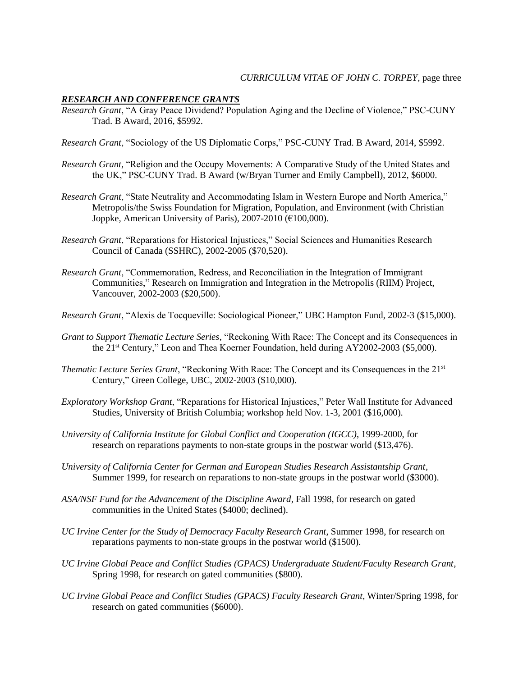## *RESEARCH AND CONFERENCE GRANTS*

*Research Grant*, "A Gray Peace Dividend? Population Aging and the Decline of Violence," PSC-CUNY Trad. B Award, 2016, \$5992.

*Research Grant*, "Sociology of the US Diplomatic Corps," PSC-CUNY Trad. B Award, 2014, \$5992.

- *Research Grant*, "Religion and the Occupy Movements: A Comparative Study of the United States and the UK," PSC-CUNY Trad. B Award (w/Bryan Turner and Emily Campbell), 2012, \$6000.
- *Research Grant*, "State Neutrality and Accommodating Islam in Western Europe and North America," Metropolis/the Swiss Foundation for Migration, Population, and Environment (with Christian Joppke, American University of Paris), 2007-2010 ( $\epsilon$ 100,000).
- *Research Grant*, "Reparations for Historical Injustices," Social Sciences and Humanities Research Council of Canada (SSHRC), 2002-2005 (\$70,520).
- *Research Grant*, "Commemoration, Redress, and Reconciliation in the Integration of Immigrant Communities," Research on Immigration and Integration in the Metropolis (RIIM) Project, Vancouver, 2002-2003 (\$20,500).
- *Research Grant*, "Alexis de Tocqueville: Sociological Pioneer," UBC Hampton Fund, 2002-3 (\$15,000).
- *Grant to Support Thematic Lecture Series*, "Reckoning With Race: The Concept and its Consequences in the 21st Century," Leon and Thea Koerner Foundation, held during AY2002-2003 (\$5,000).
- *Thematic Lecture Series Grant*, "Reckoning With Race: The Concept and its Consequences in the 21<sup>st</sup> Century," Green College, UBC, 2002-2003 (\$10,000).
- *Exploratory Workshop Grant*, "Reparations for Historical Injustices," Peter Wall Institute for Advanced Studies, University of British Columbia; workshop held Nov. 1-3, 2001 (\$16,000).
- *University of California Institute for Global Conflict and Cooperation (IGCC)*, 1999-2000, for research on reparations payments to non-state groups in the postwar world (\$13,476).
- *University of California Center for German and European Studies Research Assistantship Grant*, Summer 1999, for research on reparations to non-state groups in the postwar world (\$3000).
- *ASA/NSF Fund for the Advancement of the Discipline Award*, Fall 1998, for research on gated communities in the United States (\$4000; declined).
- *UC Irvine Center for the Study of Democracy Faculty Research Grant*, Summer 1998, for research on reparations payments to non-state groups in the postwar world (\$1500).
- *UC Irvine Global Peace and Conflict Studies (GPACS) Undergraduate Student/Faculty Research Grant*, Spring 1998, for research on gated communities (\$800).
- *UC Irvine Global Peace and Conflict Studies (GPACS) Faculty Research Grant*, Winter/Spring 1998, for research on gated communities (\$6000).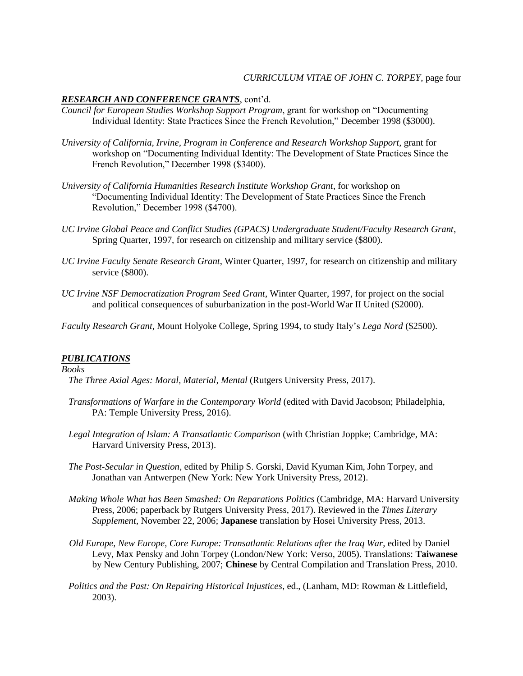# *CURRICULUM VITAE OF JOHN C. TORPEY*, page four

### *RESEARCH AND CONFERENCE GRANTS*, cont'd.

- *Council for European Studies Workshop Support Program*, grant for workshop on "Documenting Individual Identity: State Practices Since the French Revolution," December 1998 (\$3000).
- *University of California, Irvine, Program in Conference and Research Workshop Support,* grant for workshop on "Documenting Individual Identity: The Development of State Practices Since the French Revolution," December 1998 (\$3400).
- *University of California Humanities Research Institute Workshop Grant*, for workshop on "Documenting Individual Identity: The Development of State Practices Since the French Revolution," December 1998 (\$4700).
- *UC Irvine Global Peace and Conflict Studies (GPACS) Undergraduate Student/Faculty Research Grant*, Spring Quarter, 1997, for research on citizenship and military service (\$800).
- *UC Irvine Faculty Senate Research Grant*, Winter Quarter, 1997, for research on citizenship and military service (\$800).
- *UC Irvine NSF Democratization Program Seed Grant*, Winter Quarter, 1997, for project on the social and political consequences of suburbanization in the post-World War II United (\$2000).

*Faculty Research Grant*, Mount Holyoke College, Spring 1994, to study Italy's *Lega Nord* (\$2500).

### *PUBLICATIONS*

### *Books*

 *The Three Axial Ages: Moral, Material, Mental* (Rutgers University Press, 2017).

- *Transformations of Warfare in the Contemporary World* (edited with David Jacobson; Philadelphia, PA: Temple University Press, 2016).
- *Legal Integration of Islam: A Transatlantic Comparison* (with Christian Joppke; Cambridge, MA: Harvard University Press, 2013).
- *The Post-Secular in Question*, edited by Philip S. Gorski, David Kyuman Kim, John Torpey, and Jonathan van Antwerpen (New York: New York University Press, 2012).
- *Making Whole What has Been Smashed: On Reparations Politics* (Cambridge, MA: Harvard University Press, 2006; paperback by Rutgers University Press, 2017). Reviewed in the *Times Literary Supplement*, November 22, 2006; **Japanese** translation by Hosei University Press, 2013.
- *Old Europe, New Europe, Core Europe: Transatlantic Relations after the Iraq War*, edited by Daniel Levy, Max Pensky and John Torpey (London/New York: Verso, 2005). Translations: **Taiwanese** by New Century Publishing, 2007; **Chinese** by Central Compilation and Translation Press, 2010.
- *Politics and the Past: On Repairing Historical Injustices*, ed., (Lanham, MD: Rowman & Littlefield, 2003).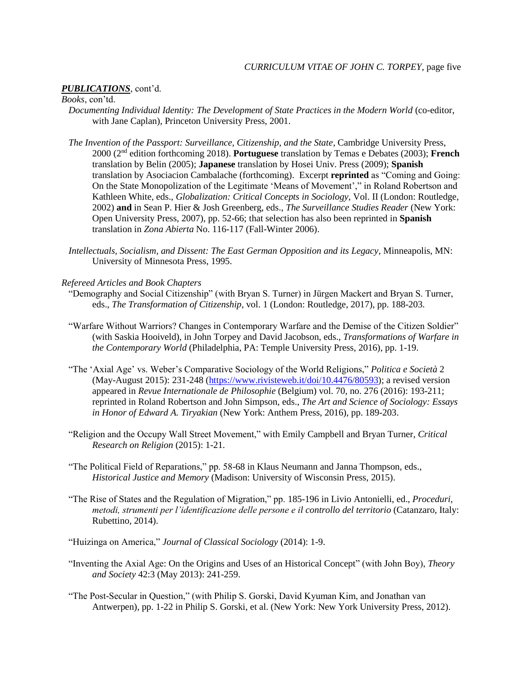#### *PUBLICATIONS*, cont'd.

*Books*, con'td.

- *Documenting Individual Identity: The Development of State Practices in the Modern World* (co-editor, with Jane Caplan), Princeton University Press, 2001.
- *The Invention of the Passport: Surveillance, Citizenship, and the State*, Cambridge University Press, 2000 (2nd edition forthcoming 2018). **Portuguese** translation by Temas e Debates (2003); **French** translation by Belin (2005); **Japanese** translation by Hosei Univ. Press (2009); **Spanish** translation by Asociacion Cambalache (forthcoming). Excerpt **reprinted** as "Coming and Going: On the State Monopolization of the Legitimate 'Means of Movement'," in Roland Robertson and Kathleen White, eds., *Globalization: Critical Concepts in Sociology,* Vol. II (London: Routledge, 2002) **and** in Sean P. Hier & Josh Greenberg, eds., *The Surveillance Studies Reader* (New York: Open University Press, 2007), pp. 52-66; that selection has also been reprinted in **Spanish** translation in *Zona Abierta* No. 116-117 (Fall-Winter 2006).
- *Intellectuals, Socialism, and Dissent: The East German Opposition and its Legacy*, Minneapolis, MN: University of Minnesota Press, 1995.

*Refereed Articles and Book Chapters*

- "Demography and Social Citizenship" (with Bryan S. Turner) in Jürgen Mackert and Bryan S. Turner, eds., *The Transformation of Citizenship*, vol. 1 (London: Routledge, 2017), pp. 188-203.
- "Warfare Without Warriors? Changes in Contemporary Warfare and the Demise of the Citizen Soldier" (with Saskia Hooiveld), in John Torpey and David Jacobson, eds., *Transformations of Warfare in the Contemporary World* (Philadelphia, PA: Temple University Press, 2016), pp. 1-19.
- "The 'Axial Age' vs. Weber's Comparative Sociology of the World Religions," *Politica e Società* 2 (May-August 2015): 231-248 [\(https://www.rivisteweb.it/doi/10.4476/80593\)](https://www.rivisteweb.it/doi/10.4476/80593); a revised version appeared in *Revue Internationale de Philosophie* (Belgium) vol. 70, no. 276 (2016): 193-211; reprinted in Roland Robertson and John Simpson, eds., *The Art and Science of Sociology: Essays in Honor of Edward A. Tiryakian* (New York: Anthem Press, 2016), pp. 189-203.
- "Religion and the Occupy Wall Street Movement," with Emily Campbell and Bryan Turner, *Critical Research on Religion* (2015): 1-21.
- "The Political Field of Reparations," pp. 58-68 in Klaus Neumann and Janna Thompson, eds., *Historical Justice and Memory* (Madison: University of Wisconsin Press, 2015).
- "The Rise of States and the Regulation of Migration," pp. 185-196 in Livio Antonielli, ed., *Proceduri, metodi, strumenti per l'identificazione delle persone e il controllo del territorio* (Catanzaro, Italy: Rubettino, 2014).
- "Huizinga on America," *Journal of Classical Sociology* (2014): 1-9.
- "Inventing the Axial Age: On the Origins and Uses of an Historical Concept" (with John Boy), *Theory and Society* 42:3 (May 2013): 241-259.
- "The Post-Secular in Question," (with Philip S. Gorski, David Kyuman Kim, and Jonathan van Antwerpen), pp. 1-22 in Philip S. Gorski, et al. (New York: New York University Press, 2012).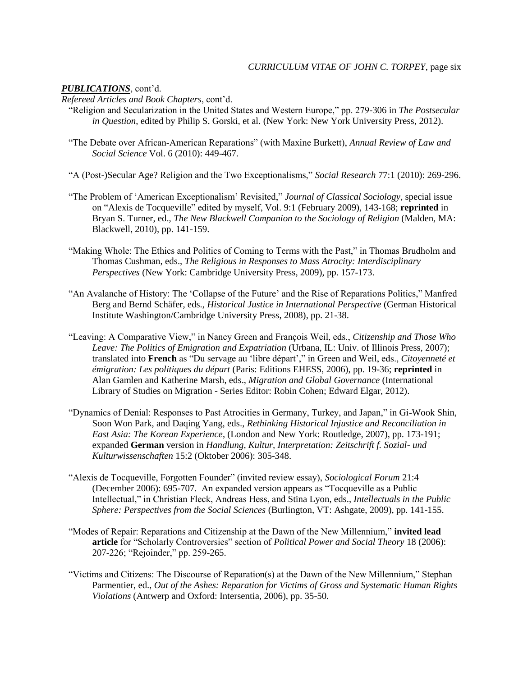## *PUBLICATIONS*, cont'd.

*Refereed Articles and Book Chapters*, cont'd.

- "Religion and Secularization in the United States and Western Europe," pp. 279-306 in *The Postsecular in Question*, edited by Philip S. Gorski, et al. (New York: New York University Press, 2012).
- "The Debate over African-American Reparations" (with Maxine Burkett), *Annual Review of Law and Social Science* Vol. 6 (2010): 449-467.
- "A (Post-)Secular Age? Religion and the Two Exceptionalisms," *Social Research* 77:1 (2010): 269-296.
- "The Problem of 'American Exceptionalism' Revisited," *Journal of Classical Sociology*, special issue on "Alexis de Tocqueville" edited by myself, Vol. 9:1 (February 2009), 143-168; **reprinted** in Bryan S. Turner, ed., *The New Blackwell Companion to the Sociology of Religion* (Malden, MA: Blackwell, 2010), pp. 141-159.
- "Making Whole: The Ethics and Politics of Coming to Terms with the Past," in Thomas Brudholm and Thomas Cushman, eds., *The Religious in Responses to Mass Atrocity: Interdisciplinary Perspectives* (New York: Cambridge University Press, 2009), pp. 157-173.
- "An Avalanche of History: The 'Collapse of the Future' and the Rise of Reparations Politics," Manfred Berg and Bernd Schäfer, eds., *Historical Justice in International Perspective* (German Historical Institute Washington/Cambridge University Press, 2008), pp. 21-38.
- "Leaving: A Comparative View," in Nancy Green and François Weil, eds., *Citizenship and Those Who Leave: The Politics of Emigration and Expatriation* (Urbana, IL: Univ. of Illinois Press, 2007); translated into **French** as "Du servage au 'libre départ'," in Green and Weil, eds., *Citoyenneté et émigration: Les politiques du départ* (Paris: Editions EHESS, 2006), pp. 19-36; **reprinted** in Alan Gamlen and Katherine Marsh, eds., *Migration and Global Governance* (International Library of Studies on Migration - Series Editor: Robin Cohen; Edward Elgar, 2012).
- "Dynamics of Denial: Responses to Past Atrocities in Germany, Turkey, and Japan," in Gi-Wook Shin, Soon Won Park, and Daqing Yang, eds., *Rethinking Historical Injustice and Reconciliation in East Asia: The Korean Experience*, (London and New York: Routledge, 2007), pp. 173-191; expanded **German** version in *Handlung, Kultur, Interpretation: Zeitschrift f. Sozial- und Kulturwissenschaften* 15:2 (Oktober 2006): 305-348.
- "Alexis de Tocqueville, Forgotten Founder" (invited review essay), *Sociological Forum* 21:4 (December 2006): 695-707. An expanded version appears as "Tocqueville as a Public Intellectual," in Christian Fleck, Andreas Hess, and Stina Lyon, eds., *Intellectuals in the Public Sphere: Perspectives from the Social Sciences* (Burlington, VT: Ashgate, 2009), pp. 141-155.
- "Modes of Repair: Reparations and Citizenship at the Dawn of the New Millennium," **invited lead article** for "Scholarly Controversies" section of *Political Power and Social Theory* 18 (2006): 207-226; "Rejoinder," pp. 259-265.
- "Victims and Citizens: The Discourse of Reparation(s) at the Dawn of the New Millennium," Stephan Parmentier, ed., *Out of the Ashes: Reparation for Victims of Gross and Systematic Human Rights Violations* (Antwerp and Oxford: Intersentia, 2006), pp. 35-50.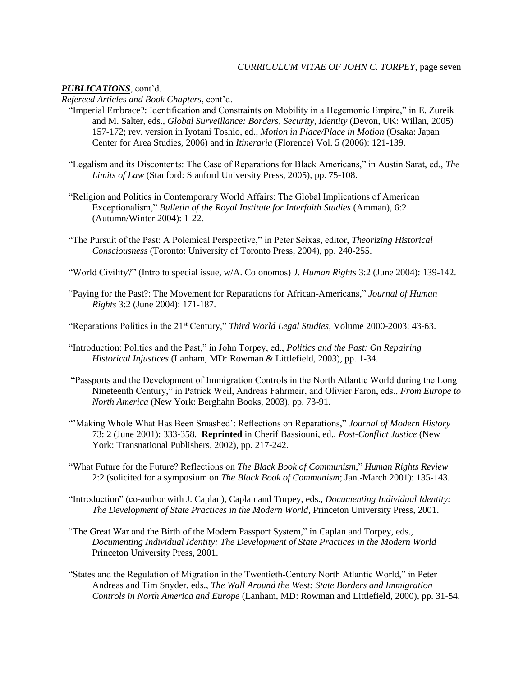# *PUBLICATIONS*, cont'd.

*Refereed Articles and Book Chapters*, cont'd.

- "Imperial Embrace?: Identification and Constraints on Mobility in a Hegemonic Empire," in E. Zureik and M. Salter, eds., *Global Surveillance: Borders, Security, Identity* (Devon, UK: Willan, 2005) 157-172; rev. version in Iyotani Toshio, ed., *Motion in Place/Place in Motion* (Osaka: Japan Center for Area Studies, 2006) and in *Itineraria* (Florence) Vol. 5 (2006): 121-139.
- "Legalism and its Discontents: The Case of Reparations for Black Americans," in Austin Sarat, ed., *The Limits of Law* (Stanford: Stanford University Press, 2005), pp. 75-108.
- "Religion and Politics in Contemporary World Affairs: The Global Implications of American Exceptionalism," *Bulletin of the Royal Institute for Interfaith Studies* (Amman), 6:2 (Autumn/Winter 2004): 1-22.
- "The Pursuit of the Past: A Polemical Perspective," in Peter Seixas, editor, *Theorizing Historical Consciousness* (Toronto: University of Toronto Press, 2004), pp. 240-255.
- "World Civility?" (Intro to special issue, w/A. Colonomos) *J. Human Rights* 3:2 (June 2004): 139-142.
- "Paying for the Past?: The Movement for Reparations for African-Americans," *Journal of Human Rights* 3:2 (June 2004): 171-187.
- "Reparations Politics in the 21st Century," *Third World Legal Studies*, Volume 2000-2003: 43-63.
- "Introduction: Politics and the Past," in John Torpey, ed., *Politics and the Past: On Repairing Historical Injustices* (Lanham, MD: Rowman & Littlefield, 2003), pp. 1-34.
- "Passports and the Development of Immigration Controls in the North Atlantic World during the Long Nineteenth Century," in Patrick Weil, Andreas Fahrmeir, and Olivier Faron, eds., *From Europe to North America* (New York: Berghahn Books, 2003), pp. 73-91.
- "'Making Whole What Has Been Smashed': Reflections on Reparations," *Journal of Modern History* 73: 2 (June 2001): 333-358. **Reprinted** in Cherif Bassiouni, ed., *Post-Conflict Justice* (New York: Transnational Publishers, 2002), pp. 217-242.
- "What Future for the Future? Reflections on *The Black Book of Communism*," *Human Rights Review* 2:2 (solicited for a symposium on *The Black Book of Communism*; Jan.-March 2001): 135-143.
- "Introduction" (co-author with J. Caplan), Caplan and Torpey, eds., *Documenting Individual Identity: The Development of State Practices in the Modern World*, Princeton University Press, 2001.
- "The Great War and the Birth of the Modern Passport System," in Caplan and Torpey, eds., *Documenting Individual Identity: The Development of State Practices in the Modern World* Princeton University Press, 2001.
- "States and the Regulation of Migration in the Twentieth-Century North Atlantic World," in Peter Andreas and Tim Snyder, eds., *The Wall Around the West: State Borders and Immigration Controls in North America and Europe* (Lanham, MD: Rowman and Littlefield, 2000), pp. 31-54.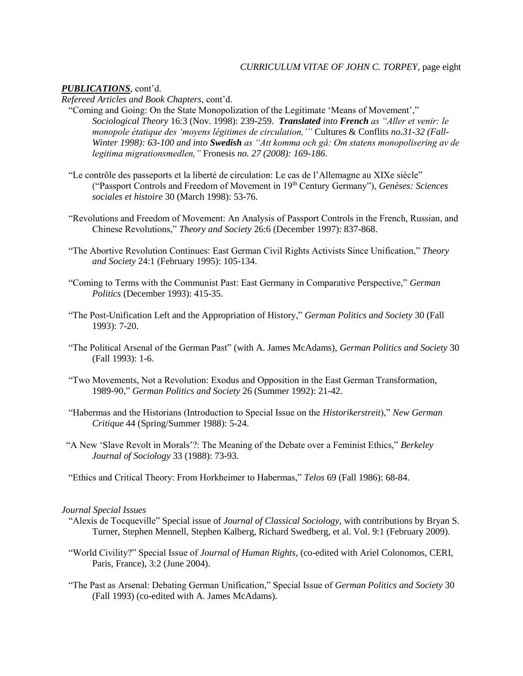## *CURRICULUM VITAE OF JOHN C. TORPEY*, page eight

## *PUBLICATIONS*, cont'd.

*Refereed Articles and Book Chapters*, cont'd.

- "Coming and Going: On the State Monopolization of the Legitimate 'Means of Movement'," *Sociological Theory* 16:3 (Nov. 1998): 239-259. *Translated into French as "Aller et venir: le monopole étatique des 'moyens légitimes de circulation,'"* Cultures & Conflits *no.31-32 (Fall-Winter 1998): 63-100 and into Swedish as "Att komma och gå: Om statens monopolisering av de legitima migrationsmedlen,"* Fronesis *no. 27 (2008): 169-186*.
- "Le contrôle des passeports et la liberté de circulation: Le cas de l'Allemagne au XIXe siècle" ("Passport Controls and Freedom of Movement in 19th Century Germany"), *Genèses: Sciences sociales et histoire* 30 (March 1998): 53-76.
- "Revolutions and Freedom of Movement: An Analysis of Passport Controls in the French, Russian, and Chinese Revolutions," *Theory and Society* 26:6 (December 1997): 837-868.
- "The Abortive Revolution Continues: East German Civil Rights Activists Since Unification," *Theory and Society* 24:1 (February 1995): 105-134.
- "Coming to Terms with the Communist Past: East Germany in Comparative Perspective," *German Politics* (December 1993): 415-35.
- "The Post-Unification Left and the Appropriation of History," *German Politics and Society* 30 (Fall 1993): 7-20.
- "The Political Arsenal of the German Past" (with A. James McAdams), *German Politics and Society* 30 (Fall 1993): 1-6.
- "Two Movements, Not a Revolution: Exodus and Opposition in the East German Transformation, 1989-90," *German Politics and Society* 26 (Summer 1992): 21-42.
- "Habermas and the Historians (Introduction to Special Issue on the *Historikerstreit*)," *New German Critique* 44 (Spring/Summer 1988): 5-24.
- "A New 'Slave Revolt in Morals'?: The Meaning of the Debate over a Feminist Ethics," *Berkeley Journal of Sociology* 33 (1988): 73-93.
- "Ethics and Critical Theory: From Horkheimer to Habermas," *Telos* 69 (Fall 1986): 68-84.

### *Journal Special Issues*

- "Alexis de Tocqueville" Special issue of *Journal of Classical Sociology*, with contributions by Bryan S. Turner, Stephen Mennell, Stephen Kalberg, Richard Swedberg, et al. Vol. 9:1 (February 2009).
- "World Civility?" Special Issue of *Journal of Human Rights*, (co-edited with Ariel Colonomos, CERI, Paris, France), 3:2 (June 2004).
- "The Past as Arsenal: Debating German Unification," Special Issue of *German Politics and Society* 30 (Fall 1993) (co-edited with A. James McAdams).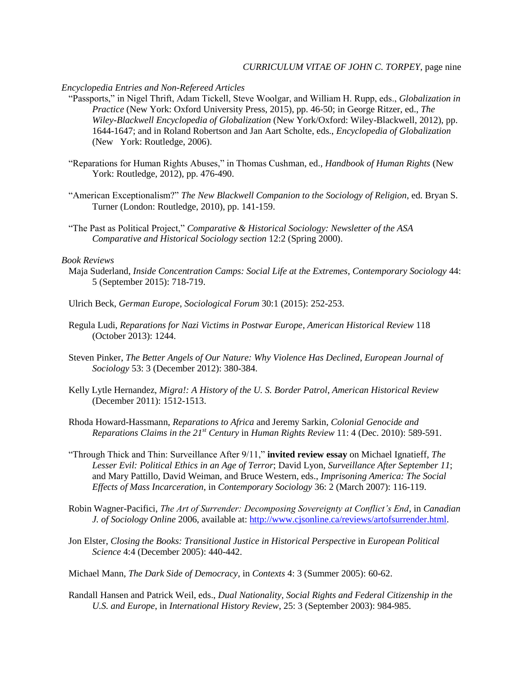#### *Encyclopedia Entries and Non-Refereed Articles*

- "Passports," in Nigel Thrift, Adam Tickell, Steve Woolgar, and William H. Rupp, eds., *Globalization in Practice* (New York: Oxford University Press, 2015), pp. 46-50; in George Ritzer, ed., *The Wiley-Blackwell Encyclopedia of Globalization* (New York/Oxford: Wiley-Blackwell, 2012), pp. 1644-1647; and in Roland Robertson and Jan Aart Scholte, eds., *Encyclopedia of Globalization* (New York: Routledge, 2006).
- "Reparations for Human Rights Abuses," in Thomas Cushman, ed., *Handbook of Human Rights* (New York: Routledge, 2012), pp. 476-490.
- "American Exceptionalism?" *The New Blackwell Companion to the Sociology of Religion*, ed. Bryan S. Turner (London: Routledge, 2010), pp. 141-159.
- "The Past as Political Project," *Comparative & Historical Sociology: Newsletter of the ASA Comparative and Historical Sociology section* 12:2 (Spring 2000).

## *Book Reviews*

- Maja Suderland, *Inside Concentration Camps: Social Life at the Extremes*, *Contemporary Sociology* 44: 5 (September 2015): 718-719.
- Ulrich Beck, *German Europe*, *Sociological Forum* 30:1 (2015): 252-253.
- Regula Ludi, *Reparations for Nazi Victims in Postwar Europe*, *American Historical Review* 118 (October 2013): 1244.
- Steven Pinker, *The Better Angels of Our Nature: Why Violence Has Declined*, *European Journal of Sociology* 53: 3 (December 2012): 380-384.
- Kelly Lytle Hernandez, *Migra!: A History of the U. S. Border Patrol*, *American Historical Review* (December 2011): 1512-1513.
- Rhoda Howard-Hassmann, *Reparations to Africa* and Jeremy Sarkin, *Colonial Genocide and Reparations Claims in the 21st Century* in *Human Rights Review* 11: 4 (Dec. 2010): 589-591.
- "Through Thick and Thin: Surveillance After 9/11," **invited review essay** on Michael Ignatieff, *The Lesser Evil: Political Ethics in an Age of Terror*; David Lyon, *Surveillance After September 11*; and Mary Pattillo, David Weiman, and Bruce Western, eds., *Imprisoning America: The Social Effects of Mass Incarceration*, in *Contemporary Sociology* 36: 2 (March 2007): 116-119.
- Robin Wagner-Pacifici, *The Art of Surrender: Decomposing Sovereignty at Conflict's End*, in *Canadian J. of Sociology Online* 2006, available at: [http://www.cjsonline.ca/reviews/artofsurrender.html.](http://www.cjsonline.ca/reviews/artofsurrender.html)
- Jon Elster, *Closing the Books: Transitional Justice in Historical Perspective* in *European Political Science* 4:4 (December 2005): 440-442.
- Michael Mann, *The Dark Side of Democracy*, in *Contexts* 4: 3 (Summer 2005): 60-62.
- Randall Hansen and Patrick Weil, eds., *Dual Nationality, Social Rights and Federal Citizenship in the U.S. and Europe*, in *International History Review*, 25: 3 (September 2003): 984-985.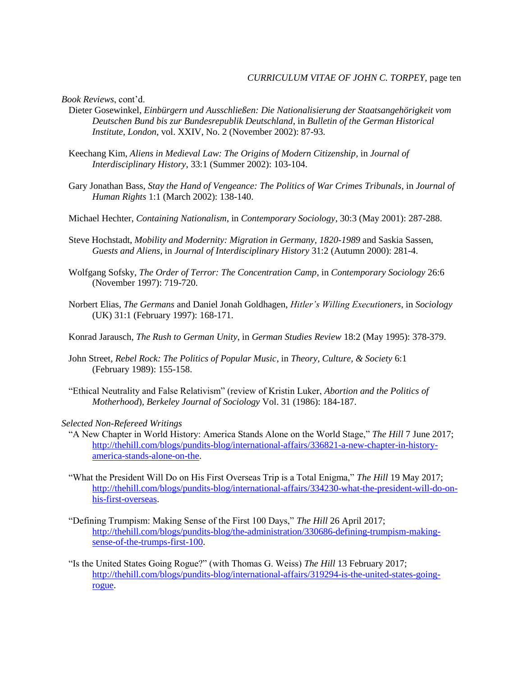*Book Reviews*, cont'd.

- Dieter Gosewinkel, *Einbürgern und Ausschließen: Die Nationalisierung der Staatsangehörigkeit vom Deutschen Bund bis zur Bundesrepublik Deutschland*, in *Bulletin of the German Historical Institute, London*, vol. XXIV, No. 2 (November 2002): 87-93.
- Keechang Kim, *Aliens in Medieval Law: The Origins of Modern Citizenship*, in *Journal of Interdisciplinary History*, 33:1 (Summer 2002): 103-104.
- Gary Jonathan Bass, *Stay the Hand of Vengeance: The Politics of War Crimes Tribunals*, in *Journal of Human Rights* 1:1 (March 2002): 138-140.
- Michael Hechter, *Containing Nationalism*, in *Contemporary Sociology*, 30:3 (May 2001): 287-288.
- Steve Hochstadt, *Mobility and Modernity: Migration in Germany, 1820-1989* and Saskia Sassen, *Guests and Aliens*, in *Journal of Interdisciplinary History* 31:2 (Autumn 2000): 281-4.
- Wolfgang Sofsky, *The Order of Terror: The Concentration Camp*, in *Contemporary Sociology* 26:6 (November 1997): 719-720.
- Norbert Elias, *The Germans* and Daniel Jonah Goldhagen, *Hitler's Willing Executioners*, in *Sociology* (UK) 31:1 (February 1997): 168-171.
- Konrad Jarausch, *The Rush to German Unity*, in *German Studies Review* 18:2 (May 1995): 378-379.
- John Street, *Rebel Rock: The Politics of Popular Music*, in *Theory, Culture, & Society* 6:1 (February 1989): 155-158.
- "Ethical Neutrality and False Relativism" (review of Kristin Luker, *Abortion and the Politics of Motherhood*), *Berkeley Journal of Sociology* Vol. 31 (1986): 184-187.

#### *Selected Non-Refereed Writings*

- "A New Chapter in World History: America Stands Alone on the World Stage," *The Hill* 7 June 2017; [http://thehill.com/blogs/pundits-blog/international-affairs/336821-a-new-chapter-in-history](http://thehill.com/blogs/pundits-blog/international-affairs/336821-a-new-chapter-in-history-america-stands-alone-on-the)[america-stands-alone-on-the.](http://thehill.com/blogs/pundits-blog/international-affairs/336821-a-new-chapter-in-history-america-stands-alone-on-the)
- "What the President Will Do on His First Overseas Trip is a Total Enigma," *The Hill* 19 May 2017; [http://thehill.com/blogs/pundits-blog/international-affairs/334230-what-the-president-will-do-on](http://thehill.com/blogs/pundits-blog/international-affairs/334230-what-the-president-will-do-on-his-first-overseas)[his-first-overseas.](http://thehill.com/blogs/pundits-blog/international-affairs/334230-what-the-president-will-do-on-his-first-overseas)
- "Defining Trumpism: Making Sense of the First 100 Days," *The Hill* 26 April 2017; [http://thehill.com/blogs/pundits-blog/the-administration/330686-defining-trumpism-making](http://thehill.com/blogs/pundits-blog/the-administration/330686-defining-trumpism-making-sense-of-the-trumps-first-100)[sense-of-the-trumps-first-100.](http://thehill.com/blogs/pundits-blog/the-administration/330686-defining-trumpism-making-sense-of-the-trumps-first-100)
- "Is the United States Going Rogue?" (with Thomas G. Weiss) *The Hill* 13 February 2017; [http://thehill.com/blogs/pundits-blog/international-affairs/319294-is-the-united-states-going](http://thehill.com/blogs/pundits-blog/international-affairs/319294-is-the-united-states-going-rogue)[rogue.](http://thehill.com/blogs/pundits-blog/international-affairs/319294-is-the-united-states-going-rogue)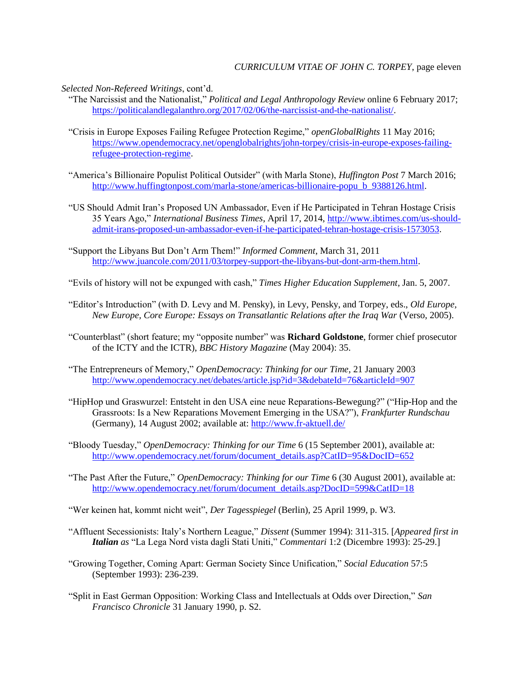*Selected Non-Refereed Writings*, cont'd.

- "The Narcissist and the Nationalist," *Political and Legal Anthropology Review* online 6 February 2017; [https://politicalandlegalanthro.org/2017/02/06/the-narcissist-and-the-nationalist/.](https://politicalandlegalanthro.org/2017/02/06/the-narcissist-and-the-nationalist/)
- "Crisis in Europe Exposes Failing Refugee Protection Regime," *openGlobalRights* 11 May 2016; [https://www.opendemocracy.net/openglobalrights/john-torpey/crisis-in-europe-exposes-failing](https://www.opendemocracy.net/openglobalrights/john-torpey/crisis-in-europe-exposes-failing-refugee-protection-regime)[refugee-protection-regime.](https://www.opendemocracy.net/openglobalrights/john-torpey/crisis-in-europe-exposes-failing-refugee-protection-regime)
- "America's Billionaire Populist Political Outsider" (with Marla Stone), *Huffington Post* 7 March 2016; [http://www.huffingtonpost.com/marla-stone/americas-billionaire-popu\\_b\\_9388126.html.](http://www.huffingtonpost.com/marla-stone/americas-billionaire-popu_b_9388126.html)
- "US Should Admit Iran's Proposed UN Ambassador, Even if He Participated in Tehran Hostage Crisis 35 Years Ago," *International Business Times*, April 17, 2014, [http://www.ibtimes.com/us-should](http://www.ibtimes.com/us-should-admit-irans-proposed-un-ambassador-even-if-he-participated-tehran-hostage-crisis-1573053)[admit-irans-proposed-un-ambassador-even-if-he-participated-tehran-hostage-crisis-1573053.](http://www.ibtimes.com/us-should-admit-irans-proposed-un-ambassador-even-if-he-participated-tehran-hostage-crisis-1573053)
- "Support the Libyans But Don't Arm Them!" *Informed Comment*, March 31, 2011 [http://www.juancole.com/2011/03/torpey-support-the-libyans-but-dont-arm-them.html.](http://www.juancole.com/2011/03/torpey-support-the-libyans-but-dont-arm-them.html)
- "Evils of history will not be expunged with cash," *Times Higher Education Supplement*, Jan. 5, 2007.
- "Editor's Introduction" (with D. Levy and M. Pensky), in Levy, Pensky, and Torpey, eds., *Old Europe, New Europe, Core Europe: Essays on Transatlantic Relations after the Iraq War* (Verso, 2005).
- "Counterblast" (short feature; my "opposite number" was **Richard Goldstone**, former chief prosecutor of the ICTY and the ICTR), *BBC History Magazine* (May 2004): 35.
- "The Entrepreneurs of Memory," *OpenDemocracy: Thinking for our Time*, 21 January 2003 <http://www.opendemocracy.net/debates/article.jsp?id=3&debateId=76&articleId=907>
- "HipHop und Graswurzel: Entsteht in den USA eine neue Reparations-Bewegung?" ("Hip-Hop and the Grassroots: Is a New Reparations Movement Emerging in the USA?"), *Frankfurter Rundschau* (Germany), 14 August 2002; available at:<http://www.fr-aktuell.de/>
- "Bloody Tuesday," *OpenDemocracy: Thinking for our Time* 6 (15 September 2001), available at: [http://www.opendemocracy.net/forum/document\\_details.asp?CatID=95&DocID=652](http://www.opendemocracy.net/forum/document_details.asp?CatID=95&DocID=652)
- "The Past After the Future," *OpenDemocracy: Thinking for our Time* 6 (30 August 2001), available at: [http://www.opendemocracy.net/forum/document\\_details.asp?DocID=599&CatID=18](http://www.opendemocracy.net/forum/document_details.asp?DocID=599&CatID=18)
- "Wer keinen hat, kommt nicht weit", *Der Tagesspiegel* (Berlin), 25 April 1999, p. W3.
- "Affluent Secessionists: Italy's Northern League," *Dissent* (Summer 1994): 311-315. [*Appeared first in Italian as* "La Lega Nord vista dagli Stati Uniti," *Commentari* 1:2 (Dicembre 1993): 25-29.]
- "Growing Together, Coming Apart: German Society Since Unification," *Social Education* 57:5 (September 1993): 236-239.
- "Split in East German Opposition: Working Class and Intellectuals at Odds over Direction," *San Francisco Chronicle* 31 January 1990, p. S2.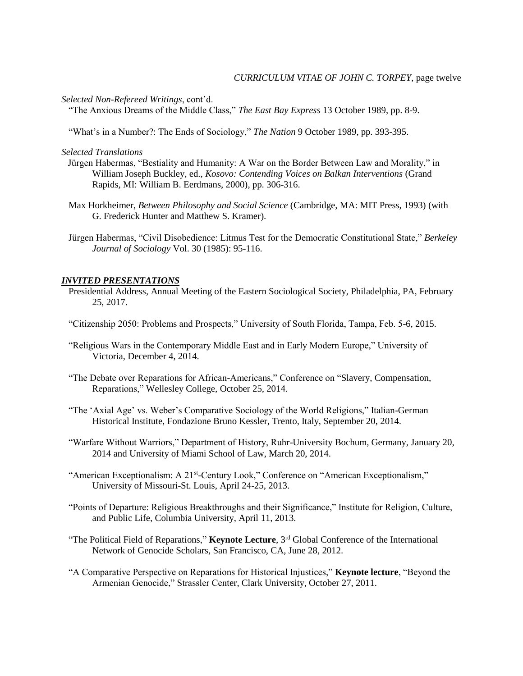*Selected Non-Refereed Writings*, cont'd.

"The Anxious Dreams of the Middle Class," *The East Bay Express* 13 October 1989, pp. 8-9.

"What's in a Number?: The Ends of Sociology," *The Nation* 9 October 1989, pp. 393-395.

*Selected Translations*

- Jürgen Habermas, "Bestiality and Humanity: A War on the Border Between Law and Morality," in William Joseph Buckley, ed., *Kosovo: Contending Voices on Balkan Interventions* (Grand Rapids, MI: William B. Eerdmans, 2000), pp. 306-316.
- Max Horkheimer, *Between Philosophy and Social Science* (Cambridge, MA: MIT Press, 1993) (with G. Frederick Hunter and Matthew S. Kramer).
- Jürgen Habermas, "Civil Disobedience: Litmus Test for the Democratic Constitutional State," *Berkeley Journal of Sociology* Vol. 30 (1985): 95-116.

#### *INVITED PRESENTATIONS*

- Presidential Address, Annual Meeting of the Eastern Sociological Society, Philadelphia, PA, February 25, 2017.
- "Citizenship 2050: Problems and Prospects," University of South Florida, Tampa, Feb. 5-6, 2015.
- "Religious Wars in the Contemporary Middle East and in Early Modern Europe," University of Victoria, December 4, 2014.
- "The Debate over Reparations for African-Americans," Conference on "Slavery, Compensation, Reparations," Wellesley College, October 25, 2014.
- "The 'Axial Age' vs. Weber's Comparative Sociology of the World Religions," Italian-German Historical Institute, Fondazione Bruno Kessler, Trento, Italy, September 20, 2014.
- "Warfare Without Warriors," Department of History, Ruhr-University Bochum, Germany, January 20, 2014 and University of Miami School of Law, March 20, 2014.
- "American Exceptionalism: A 21<sup>st</sup>-Century Look," Conference on "American Exceptionalism," University of Missouri-St. Louis, April 24-25, 2013.
	- "Points of Departure: Religious Breakthroughs and their Significance," Institute for Religion, Culture, and Public Life, Columbia University, April 11, 2013.
	- "The Political Field of Reparations," **Keynote Lecture**, 3<sup>rd</sup> Global Conference of the International Network of Genocide Scholars, San Francisco, CA, June 28, 2012.
	- "A Comparative Perspective on Reparations for Historical Injustices," **Keynote lecture**, "Beyond the Armenian Genocide," Strassler Center, Clark University, October 27, 2011.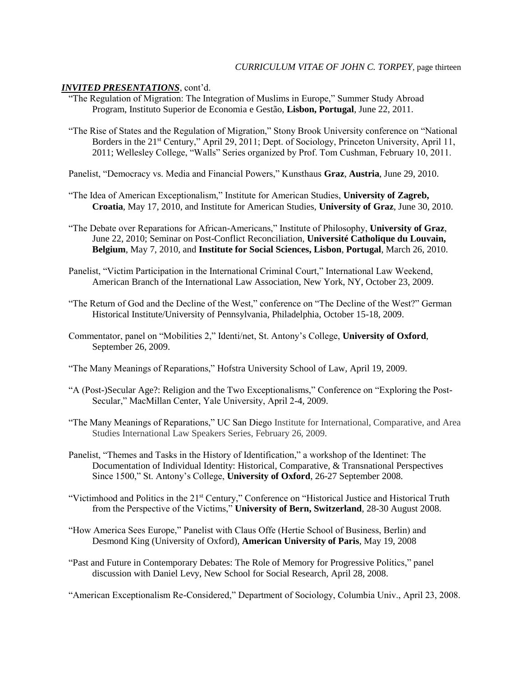- "The Regulation of Migration: The Integration of Muslims in Europe," Summer Study Abroad Program, Instituto Superior de Economia e Gestão, **Lisbon, Portugal**, June 22, 2011.
- "The Rise of States and the Regulation of Migration," Stony Brook University conference on "National Borders in the 21<sup>st</sup> Century," April 29, 2011; Dept. of Sociology, Princeton University, April 11, 2011; Wellesley College, "Walls" Series organized by Prof. Tom Cushman, February 10, 2011.
- Panelist, "Democracy vs. Media and Financial Powers," Kunsthaus **Graz**, **Austria**, June 29, 2010.
- "The Idea of American Exceptionalism," Institute for American Studies, **University of Zagreb, Croatia**, May 17, 2010, and Institute for American Studies, **University of Graz**, June 30, 2010.
- "The Debate over Reparations for African-Americans," Institute of Philosophy, **University of Graz**, June 22, 2010; Seminar on Post-Conflict Reconciliation, **Université Catholique du Louvain, Belgium**, May 7, 2010, and **Institute for Social Sciences, Lisbon**, **Portugal**, March 26, 2010.
- Panelist, "Victim Participation in the International Criminal Court," International Law Weekend, American Branch of the International Law Association, New York, NY, October 23, 2009.
- "The Return of God and the Decline of the West," conference on "The Decline of the West?" German Historical Institute/University of Pennsylvania, Philadelphia, October 15-18, 2009.
- Commentator, panel on "Mobilities 2," Identi/net, St. Antony's College, **University of Oxford**, September 26, 2009.
- "The Many Meanings of Reparations," Hofstra University School of Law, April 19, 2009.
- "A (Post-)Secular Age?: Religion and the Two Exceptionalisms," Conference on "Exploring the Post-Secular," MacMillan Center, Yale University, April 2-4, 2009.
- "The Many Meanings of Reparations," UC San Diego Institute for International, Comparative, and Area Studies International Law Speakers Series, February 26, 2009.
- Panelist, "Themes and Tasks in the History of Identification," a workshop of the Identinet: The Documentation of Individual Identity: Historical, Comparative, & Transnational Perspectives Since 1500," St. Antony's College, **University of Oxford**, 26-27 September 2008.
- "Victimhood and Politics in the 21st Century," Conference on "Historical Justice and Historical Truth from the Perspective of the Victims," **University of Bern, Switzerland**, 28-30 August 2008.
- "How America Sees Europe," Panelist with Claus Offe (Hertie School of Business, Berlin) and Desmond King (University of Oxford), **American University of Paris**, May 19, 2008
- "Past and Future in Contemporary Debates: The Role of Memory for Progressive Politics," panel discussion with Daniel Levy, New School for Social Research, April 28, 2008.

"American Exceptionalism Re-Considered," Department of Sociology, Columbia Univ., April 23, 2008.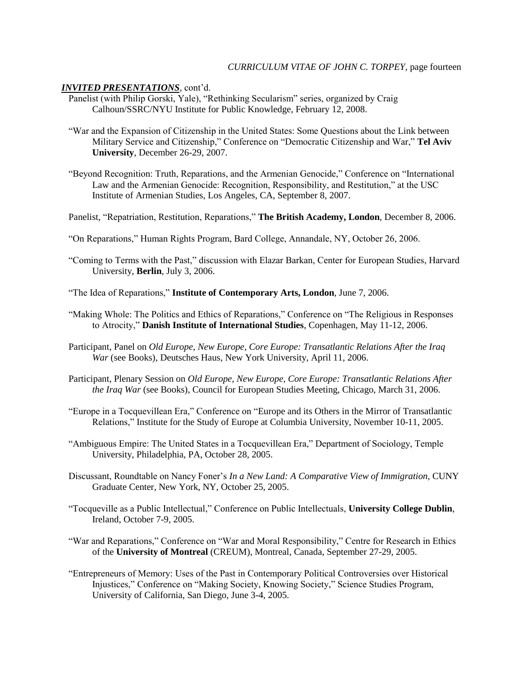- Panelist (with Philip Gorski, Yale), "Rethinking Secularism" series, organized by Craig Calhoun/SSRC/NYU Institute for Public Knowledge, February 12, 2008.
- "War and the Expansion of Citizenship in the United States: Some Questions about the Link between Military Service and Citizenship," Conference on "Democratic Citizenship and War," **Tel Aviv University**, December 26-29, 2007.
- "Beyond Recognition: Truth, Reparations, and the Armenian Genocide," Conference on "International Law and the Armenian Genocide: Recognition, Responsibility, and Restitution," at the USC Institute of Armenian Studies, Los Angeles, CA, September 8, 2007.
- Panelist, "Repatriation, Restitution, Reparations," **The British Academy, London**, December 8, 2006.
- "On Reparations," Human Rights Program, Bard College, Annandale, NY, October 26, 2006.
- "Coming to Terms with the Past," discussion with Elazar Barkan, Center for European Studies, Harvard University, **Berlin**, July 3, 2006.
- "The Idea of Reparations," **Institute of Contemporary Arts, London**, June 7, 2006.
- "Making Whole: The Politics and Ethics of Reparations," Conference on "The Religious in Responses to Atrocity," **Danish Institute of International Studies**, Copenhagen, May 11-12, 2006.
- Participant, Panel on *Old Europe, New Europe, Core Europe: Transatlantic Relations After the Iraq War* (see Books), Deutsches Haus, New York University, April 11, 2006.
- Participant, Plenary Session on *Old Europe, New Europe, Core Europe: Transatlantic Relations After the Iraq War* (see Books), Council for European Studies Meeting, Chicago, March 31, 2006.
- "Europe in a Tocquevillean Era," Conference on "Europe and its Others in the Mirror of Transatlantic Relations," Institute for the Study of Europe at Columbia University, November 10-11, 2005.
- "Ambiguous Empire: The United States in a Tocquevillean Era," Department of Sociology, Temple University, Philadelphia, PA, October 28, 2005.
- Discussant, Roundtable on Nancy Foner's *In a New Land: A Comparative View of Immigration*, CUNY Graduate Center, New York, NY, October 25, 2005.
- "Tocqueville as a Public Intellectual," Conference on Public Intellectuals, **University College Dublin**, Ireland, October 7-9, 2005.
- "War and Reparations," Conference on "War and Moral Responsibility," Centre for Research in Ethics of the **University of Montreal** (CREUM), Montreal, Canada, September 27-29, 2005.
- "Entrepreneurs of Memory: Uses of the Past in Contemporary Political Controversies over Historical Injustices," Conference on "Making Society, Knowing Society," Science Studies Program, University of California, San Diego, June 3-4, 2005.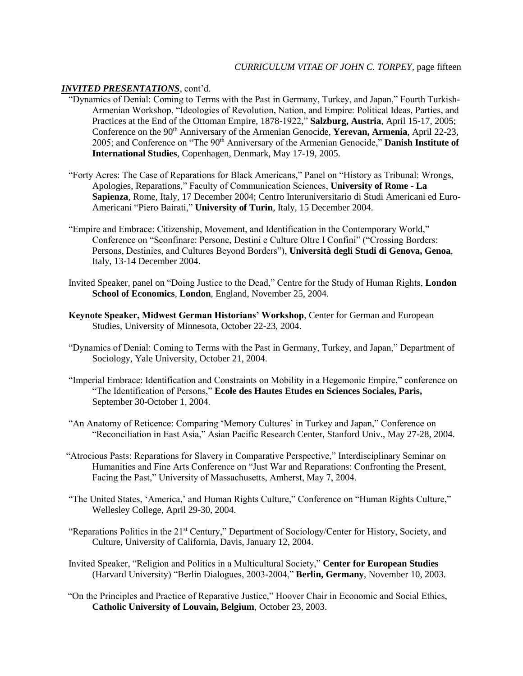- "Dynamics of Denial: Coming to Terms with the Past in Germany, Turkey, and Japan," Fourth Turkish-Armenian Workshop, "Ideologies of Revolution, Nation, and Empire: Political Ideas, Parties, and Practices at the End of the Ottoman Empire, 1878-1922," **Salzburg, Austria**, April 15-17, 2005; Conference on the 90<sup>th</sup> Anniversary of the Armenian Genocide, **Yerevan, Armenia**, April 22-23, 2005; and Conference on "The 90th Anniversary of the Armenian Genocide," **Danish Institute of International Studies**, Copenhagen, Denmark, May 17-19, 2005.
- "Forty Acres: The Case of Reparations for Black Americans," Panel on "History as Tribunal: Wrongs, Apologies, Reparations," Faculty of Communication Sciences, **University of Rome - La Sapienza**, Rome, Italy, 17 December 2004; Centro Interuniversitario di Studi Americani ed Euro-Americani "Piero Bairati," **University of Turin**, Italy, 15 December 2004.
- "Empire and Embrace: Citizenship, Movement, and Identification in the Contemporary World," Conference on "Sconfinare: Persone, Destini e Culture Oltre I Confini" ("Crossing Borders: Persons, Destinies, and Cultures Beyond Borders"), **Università degli Studi di Genova, Genoa**, Italy, 13-14 December 2004.
- Invited Speaker, panel on "Doing Justice to the Dead," Centre for the Study of Human Rights, **London School of Economics**, **London**, England, November 25, 2004.
- **Keynote Speaker, Midwest German Historians' Workshop**, Center for German and European Studies, University of Minnesota, October 22-23, 2004.
- "Dynamics of Denial: Coming to Terms with the Past in Germany, Turkey, and Japan," Department of Sociology, Yale University, October 21, 2004.
- "Imperial Embrace: Identification and Constraints on Mobility in a Hegemonic Empire," conference on "The Identification of Persons," **Ecole des Hautes Etudes en Sciences Sociales, Paris,**  September 30-October 1, 2004.
- "An Anatomy of Reticence: Comparing 'Memory Cultures' in Turkey and Japan," Conference on "Reconciliation in East Asia," Asian Pacific Research Center, Stanford Univ., May 27-28, 2004.
- "Atrocious Pasts: Reparations for Slavery in Comparative Perspective," Interdisciplinary Seminar on Humanities and Fine Arts Conference on "Just War and Reparations: Confronting the Present, Facing the Past," University of Massachusetts, Amherst, May 7, 2004.
- "The United States, 'America,' and Human Rights Culture," Conference on "Human Rights Culture," Wellesley College, April 29-30, 2004.
- "Reparations Politics in the 21<sup>st</sup> Century," Department of Sociology/Center for History, Society, and Culture, University of California, Davis, January 12, 2004.
- Invited Speaker, "Religion and Politics in a Multicultural Society," **Center for European Studies**  (Harvard University) "Berlin Dialogues, 2003-2004," **Berlin, Germany**, November 10, 2003.
- "On the Principles and Practice of Reparative Justice," Hoover Chair in Economic and Social Ethics, **Catholic University of Louvain, Belgium**, October 23, 2003.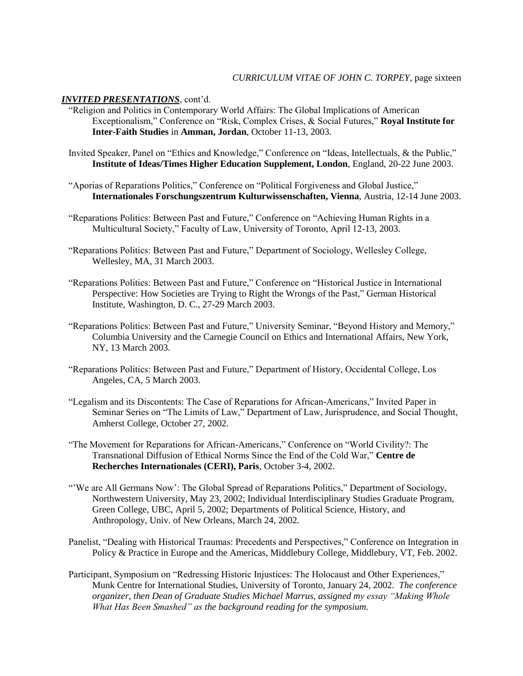- "Religion and Politics in Contemporary World Affairs: The Global Implications of American Exceptionalism," Conference on "Risk, Complex Crises, & Social Futures," **Royal Institute for Inter-Faith Studies** in **Amman, Jordan**, October 11-13, 2003.
- Invited Speaker, Panel on "Ethics and Knowledge," Conference on "Ideas, Intellectuals, & the Public," **Institute of Ideas/Times Higher Education Supplement, London**, England, 20-22 June 2003.
- "Aporias of Reparations Politics," Conference on "Political Forgiveness and Global Justice," **Internationales Forschungszentrum Kulturwissenschaften, Vienna**, Austria, 12-14 June 2003.
- "Reparations Politics: Between Past and Future," Conference on "Achieving Human Rights in a Multicultural Society," Faculty of Law, University of Toronto, April 12-13, 2003.
- "Reparations Politics: Between Past and Future," Department of Sociology, Wellesley College, Wellesley, MA, 31 March 2003.
- "Reparations Politics: Between Past and Future," Conference on "Historical Justice in International Perspective: How Societies are Trying to Right the Wrongs of the Past," German Historical Institute, Washington, D. C., 27-29 March 2003.
- "Reparations Politics: Between Past and Future," University Seminar, "Beyond History and Memory," Columbia University and the Carnegie Council on Ethics and International Affairs, New York, NY, 13 March 2003.
- "Reparations Politics: Between Past and Future," Department of History, Occidental College, Los Angeles, CA, 5 March 2003.
- "Legalism and its Discontents: The Case of Reparations for African-Americans," Invited Paper in Seminar Series on "The Limits of Law," Department of Law, Jurisprudence, and Social Thought, Amherst College, October 27, 2002.
- "The Movement for Reparations for African-Americans," Conference on "World Civility?: The Transnational Diffusion of Ethical Norms Since the End of the Cold War," **Centre de Recherches Internationales (CERI), Paris**, October 3-4, 2002.
- "'We are All Germans Now': The Global Spread of Reparations Politics," Department of Sociology, Northwestern University, May 23, 2002; Individual Interdisciplinary Studies Graduate Program, Green College, UBC, April 5, 2002; Departments of Political Science, History, and Anthropology, Univ. of New Orleans, March 24, 2002.
- Panelist, "Dealing with Historical Traumas: Precedents and Perspectives," Conference on Integration in Policy & Practice in Europe and the Americas, Middlebury College, Middlebury, VT, Feb. 2002.
- Participant, Symposium on "Redressing Historic Injustices: The Holocaust and Other Experiences," Munk Centre for International Studies, University of Toronto, January 24, 2002. *The conference organizer, then Dean of Graduate Studies Michael Marrus, assigned my essay "Making Whole What Has Been Smashed" as the background reading for the symposium.*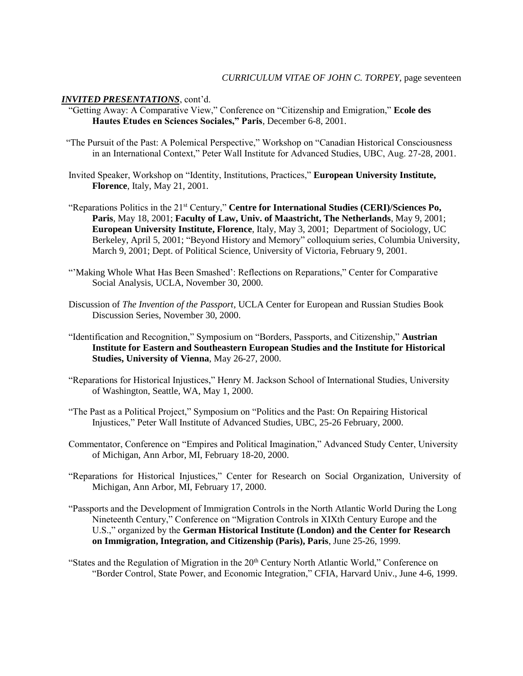- "Getting Away: A Comparative View," Conference on "Citizenship and Emigration," **Ecole des Hautes Etudes en Sciences Sociales," Paris**, December 6-8, 2001.
- "The Pursuit of the Past: A Polemical Perspective," Workshop on "Canadian Historical Consciousness in an International Context," Peter Wall Institute for Advanced Studies, UBC, Aug. 27-28, 2001.
- Invited Speaker, Workshop on "Identity, Institutions, Practices," **European University Institute, Florence**, Italy, May 21, 2001.
- "Reparations Politics in the 21<sup>st</sup> Century," **Centre for International Studies (CERI)/Sciences Po, Paris**, May 18, 2001; **Faculty of Law, Univ. of Maastricht, The Netherlands**, May 9, 2001; **European University Institute, Florence**, Italy, May 3, 2001; Department of Sociology, UC Berkeley, April 5, 2001; "Beyond History and Memory" colloquium series, Columbia University, March 9, 2001; Dept. of Political Science, University of Victoria, February 9, 2001.
- "'Making Whole What Has Been Smashed': Reflections on Reparations," Center for Comparative Social Analysis, UCLA, November 30, 2000.
- Discussion of *The Invention of the Passport*, UCLA Center for European and Russian Studies Book Discussion Series, November 30, 2000.
- "Identification and Recognition," Symposium on "Borders, Passports, and Citizenship," **Austrian Institute for Eastern and Southeastern European Studies and the Institute for Historical Studies, University of Vienna**, May 26-27, 2000.
- "Reparations for Historical Injustices," Henry M. Jackson School of International Studies, University of Washington, Seattle, WA, May 1, 2000.
- "The Past as a Political Project," Symposium on "Politics and the Past: On Repairing Historical Injustices," Peter Wall Institute of Advanced Studies, UBC, 25-26 February, 2000.
- Commentator, Conference on "Empires and Political Imagination," Advanced Study Center, University of Michigan, Ann Arbor, MI, February 18-20, 2000.
- "Reparations for Historical Injustices," Center for Research on Social Organization, University of Michigan, Ann Arbor, MI, February 17, 2000.
- "Passports and the Development of Immigration Controls in the North Atlantic World During the Long Nineteenth Century," Conference on "Migration Controls in XIXth Century Europe and the U.S.," organized by the **German Historical Institute (London) and the Center for Research on Immigration, Integration, and Citizenship (Paris), Paris**, June 25-26, 1999.
- "States and the Regulation of Migration in the  $20<sup>th</sup>$  Century North Atlantic World," Conference on "Border Control, State Power, and Economic Integration," CFIA, Harvard Univ., June 4-6, 1999.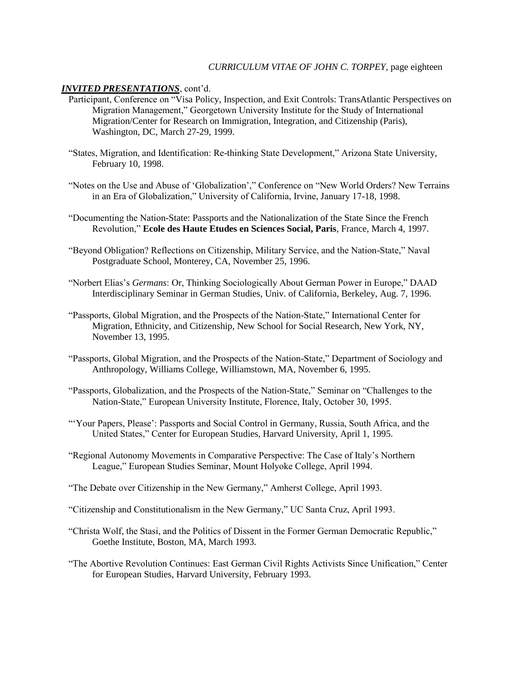## *CURRICULUM VITAE OF JOHN C. TORPEY*, page eighteen

- Participant, Conference on "Visa Policy, Inspection, and Exit Controls: TransAtlantic Perspectives on Migration Management," Georgetown University Institute for the Study of International Migration/Center for Research on Immigration, Integration, and Citizenship (Paris), Washington, DC, March 27-29, 1999.
- "States, Migration, and Identification: Re-thinking State Development," Arizona State University, February 10, 1998.
- "Notes on the Use and Abuse of 'Globalization'," Conference on "New World Orders? New Terrains in an Era of Globalization," University of California, Irvine, January 17-18, 1998.
- "Documenting the Nation-State: Passports and the Nationalization of the State Since the French Revolution," **Ecole des Haute Etudes en Sciences Social, Paris**, France, March 4, 1997.
- "Beyond Obligation? Reflections on Citizenship, Military Service, and the Nation-State," Naval Postgraduate School, Monterey, CA, November 25, 1996.
- "Norbert Elias's *Germans*: Or, Thinking Sociologically About German Power in Europe," DAAD Interdisciplinary Seminar in German Studies, Univ. of California, Berkeley, Aug. 7, 1996.
- "Passports, Global Migration, and the Prospects of the Nation-State," International Center for Migration, Ethnicity, and Citizenship, New School for Social Research, New York, NY, November 13, 1995.
- "Passports, Global Migration, and the Prospects of the Nation-State," Department of Sociology and Anthropology, Williams College, Williamstown, MA, November 6, 1995.
- "Passports, Globalization, and the Prospects of the Nation-State," Seminar on "Challenges to the Nation-State," European University Institute, Florence, Italy, October 30, 1995.
- "'Your Papers, Please': Passports and Social Control in Germany, Russia, South Africa, and the United States," Center for European Studies, Harvard University, April 1, 1995.
- "Regional Autonomy Movements in Comparative Perspective: The Case of Italy's Northern League," European Studies Seminar, Mount Holyoke College, April 1994.
- "The Debate over Citizenship in the New Germany," Amherst College, April 1993.
- "Citizenship and Constitutionalism in the New Germany," UC Santa Cruz, April 1993.
- "Christa Wolf, the Stasi, and the Politics of Dissent in the Former German Democratic Republic," Goethe Institute, Boston, MA, March 1993.
- "The Abortive Revolution Continues: East German Civil Rights Activists Since Unification," Center for European Studies, Harvard University, February 1993.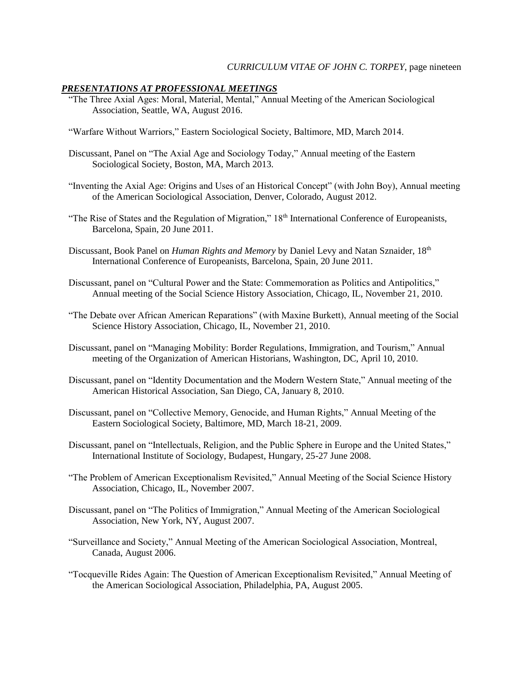## *PRESENTATIONS AT PROFESSIONAL MEETINGS*

- "The Three Axial Ages: Moral, Material, Mental," Annual Meeting of the American Sociological Association, Seattle, WA, August 2016.
- "Warfare Without Warriors," Eastern Sociological Society, Baltimore, MD, March 2014.
- Discussant, Panel on "The Axial Age and Sociology Today," Annual meeting of the Eastern Sociological Society, Boston, MA, March 2013.
- "Inventing the Axial Age: Origins and Uses of an Historical Concept" (with John Boy), Annual meeting of the American Sociological Association, Denver, Colorado, August 2012.
- "The Rise of States and the Regulation of Migration," 18<sup>th</sup> International Conference of Europeanists, Barcelona, Spain, 20 June 2011.
- Discussant, Book Panel on *Human Rights and Memory* by Daniel Levy and Natan Sznaider, 18<sup>th</sup> International Conference of Europeanists, Barcelona, Spain, 20 June 2011.
- Discussant, panel on "Cultural Power and the State: Commemoration as Politics and Antipolitics," Annual meeting of the Social Science History Association, Chicago, IL, November 21, 2010.
- "The Debate over African American Reparations" (with Maxine Burkett), Annual meeting of the Social Science History Association, Chicago, IL, November 21, 2010.
- Discussant, panel on "Managing Mobility: Border Regulations, Immigration, and Tourism," Annual meeting of the Organization of American Historians, Washington, DC, April 10, 2010.
- Discussant, panel on "Identity Documentation and the Modern Western State," Annual meeting of the American Historical Association, San Diego, CA, January 8, 2010.
- Discussant, panel on "Collective Memory, Genocide, and Human Rights," Annual Meeting of the Eastern Sociological Society, Baltimore, MD, March 18-21, 2009.
- Discussant, panel on "Intellectuals, Religion, and the Public Sphere in Europe and the United States," International Institute of Sociology, Budapest, Hungary, 25-27 June 2008.
- "The Problem of American Exceptionalism Revisited," Annual Meeting of the Social Science History Association, Chicago, IL, November 2007.
- Discussant, panel on "The Politics of Immigration," Annual Meeting of the American Sociological Association, New York, NY, August 2007.
- "Surveillance and Society," Annual Meeting of the American Sociological Association, Montreal, Canada, August 2006.
- "Tocqueville Rides Again: The Question of American Exceptionalism Revisited," Annual Meeting of the American Sociological Association, Philadelphia, PA, August 2005.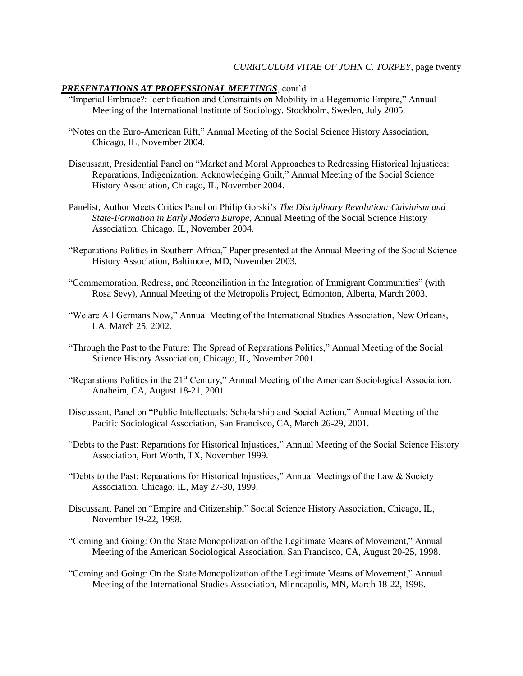## *PRESENTATIONS AT PROFESSIONAL MEETINGS*, cont'd.

- "Imperial Embrace?: Identification and Constraints on Mobility in a Hegemonic Empire," Annual Meeting of the International Institute of Sociology, Stockholm, Sweden, July 2005.
- "Notes on the Euro-American Rift," Annual Meeting of the Social Science History Association, Chicago, IL, November 2004.
- Discussant, Presidential Panel on "Market and Moral Approaches to Redressing Historical Injustices: Reparations, Indigenization, Acknowledging Guilt," Annual Meeting of the Social Science History Association, Chicago, IL, November 2004.
- Panelist, Author Meets Critics Panel on Philip Gorski's *The Disciplinary Revolution: Calvinism and State-Formation in Early Modern Europe*, Annual Meeting of the Social Science History Association, Chicago, IL, November 2004.
- "Reparations Politics in Southern Africa," Paper presented at the Annual Meeting of the Social Science History Association, Baltimore, MD, November 2003.
- "Commemoration, Redress, and Reconciliation in the Integration of Immigrant Communities" (with Rosa Sevy), Annual Meeting of the Metropolis Project, Edmonton, Alberta, March 2003.
- "We are All Germans Now," Annual Meeting of the International Studies Association, New Orleans, LA, March 25, 2002.
- "Through the Past to the Future: The Spread of Reparations Politics," Annual Meeting of the Social Science History Association, Chicago, IL, November 2001.
- "Reparations Politics in the 21<sup>st</sup> Century," Annual Meeting of the American Sociological Association, Anaheim, CA, August 18-21, 2001.
- Discussant, Panel on "Public Intellectuals: Scholarship and Social Action," Annual Meeting of the Pacific Sociological Association, San Francisco, CA, March 26-29, 2001.
- "Debts to the Past: Reparations for Historical Injustices," Annual Meeting of the Social Science History Association, Fort Worth, TX, November 1999.
- "Debts to the Past: Reparations for Historical Injustices," Annual Meetings of the Law & Society Association, Chicago, IL, May 27-30, 1999.
- Discussant, Panel on "Empire and Citizenship," Social Science History Association, Chicago, IL, November 19-22, 1998.
- "Coming and Going: On the State Monopolization of the Legitimate Means of Movement," Annual Meeting of the American Sociological Association, San Francisco, CA, August 20-25, 1998.
- "Coming and Going: On the State Monopolization of the Legitimate Means of Movement," Annual Meeting of the International Studies Association, Minneapolis, MN, March 18-22, 1998.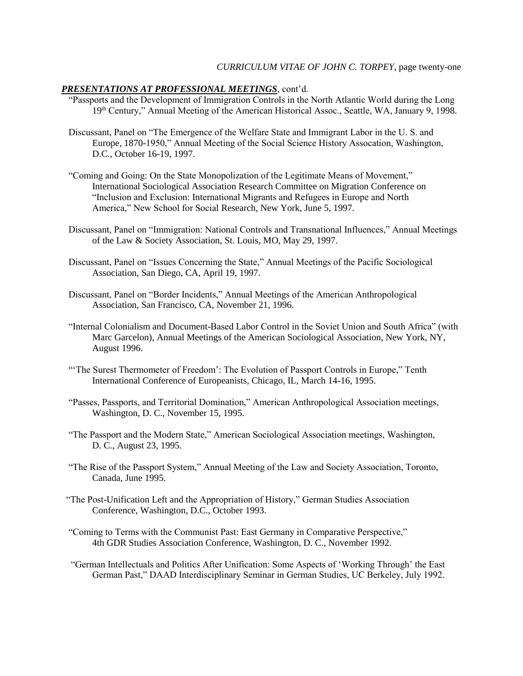### *CURRICULUM VITAE OF JOHN C. TORPEY*, page twenty-one

## *PRESENTATIONS AT PROFESSIONAL MEETINGS*, cont'd.

- "Passports and the Development of Immigration Controls in the North Atlantic World during the Long 19th Century," Annual Meeting of the American Historical Assoc., Seattle, WA, January 9, 1998.
- Discussant, Panel on "The Emergence of the Welfare State and Immigrant Labor in the U. S. and Europe, 1870-1950," Annual Meeting of the Social Science History Assocation, Washington, D.C., October 16-19, 1997.
- "Coming and Going: On the State Monopolization of the Legitimate Means of Movement," International Sociological Association Research Committee on Migration Conference on "Inclusion and Exclusion: International Migrants and Refugees in Europe and North America," New School for Social Research, New York, June 5, 1997.
- Discussant, Panel on "Immigration: National Controls and Transnational Influences," Annual Meetings of the Law & Society Association, St. Louis, MO, May 29, 1997.
- Discussant, Panel on "Issues Concerning the State," Annual Meetings of the Pacific Sociological Association, San Diego, CA, April 19, 1997.
- Discussant, Panel on "Border Incidents," Annual Meetings of the American Anthropological Association, San Francisco, CA, November 21, 1996.
- "Internal Colonialism and Document-Based Labor Control in the Soviet Union and South Africa" (with Marc Garcelon), Annual Meetings of the American Sociological Association, New York, NY, August 1996.
- "'The Surest Thermometer of Freedom': The Evolution of Passport Controls in Europe," Tenth International Conference of Europeanists, Chicago, IL, March 14-16, 1995.
- "Passes, Passports, and Territorial Domination," American Anthropological Association meetings, Washington, D. C., November 15, 1995.
- "The Passport and the Modern State," American Sociological Association meetings, Washington, D. C., August 23, 1995.
- "The Rise of the Passport System," Annual Meeting of the Law and Society Association, Toronto, Canada, June 1995.
- "The Post-Unification Left and the Appropriation of History," German Studies Association Conference, Washington, D.C., October 1993.
- "Coming to Terms with the Communist Past: East Germany in Comparative Perspective," 4th GDR Studies Association Conference, Washington, D. C., November 1992.
- "German Intellectuals and Politics After Unification: Some Aspects of 'Working Through' the East German Past," DAAD Interdisciplinary Seminar in German Studies, UC Berkeley, July 1992.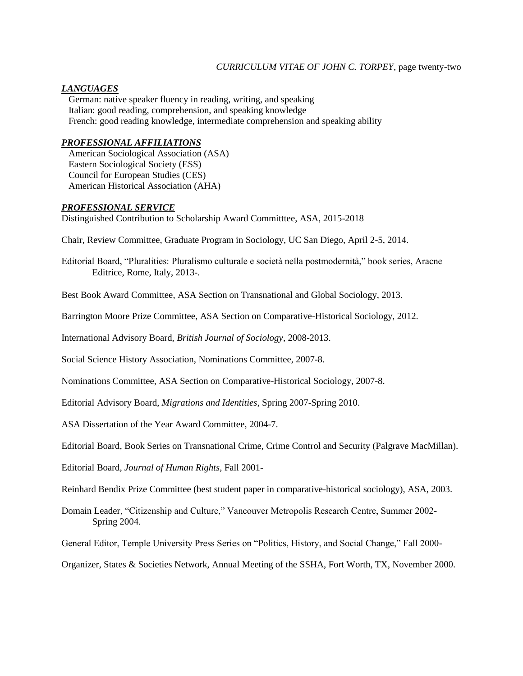## *CURRICULUM VITAE OF JOHN C. TORPEY*, page twenty-two

# *LANGUAGES*

 German: native speaker fluency in reading, writing, and speaking Italian: good reading, comprehension, and speaking knowledge French: good reading knowledge, intermediate comprehension and speaking ability

# *PROFESSIONAL AFFILIATIONS*

 American Sociological Association (ASA) Eastern Sociological Society (ESS) Council for European Studies (CES) American Historical Association (AHA)

# *PROFESSIONAL SERVICE*

Distinguished Contribution to Scholarship Award Committtee, ASA, 2015-2018

Chair, Review Committee, Graduate Program in Sociology, UC San Diego, April 2-5, 2014.

Editorial Board, "Pluralities: Pluralismo culturale e società nella postmodernità," book series, Aracne Editrice, Rome, Italy, 2013-.

Best Book Award Committee, ASA Section on Transnational and Global Sociology, 2013.

Barrington Moore Prize Committee, ASA Section on Comparative-Historical Sociology, 2012.

International Advisory Board, *British Journal of Sociology*, 2008-2013.

Social Science History Association, Nominations Committee, 2007-8.

Nominations Committee, ASA Section on Comparative-Historical Sociology, 2007-8.

Editorial Advisory Board, *Migrations and Identities*, Spring 2007-Spring 2010.

ASA Dissertation of the Year Award Committee, 2004-7.

Editorial Board, Book Series on Transnational Crime, Crime Control and Security (Palgrave MacMillan).

Editorial Board, *Journal of Human Rights*, Fall 2001-

Reinhard Bendix Prize Committee (best student paper in comparative-historical sociology), ASA, 2003.

Domain Leader, "Citizenship and Culture," Vancouver Metropolis Research Centre, Summer 2002- Spring 2004.

General Editor, Temple University Press Series on "Politics, History, and Social Change," Fall 2000-

Organizer, States & Societies Network, Annual Meeting of the SSHA, Fort Worth, TX, November 2000.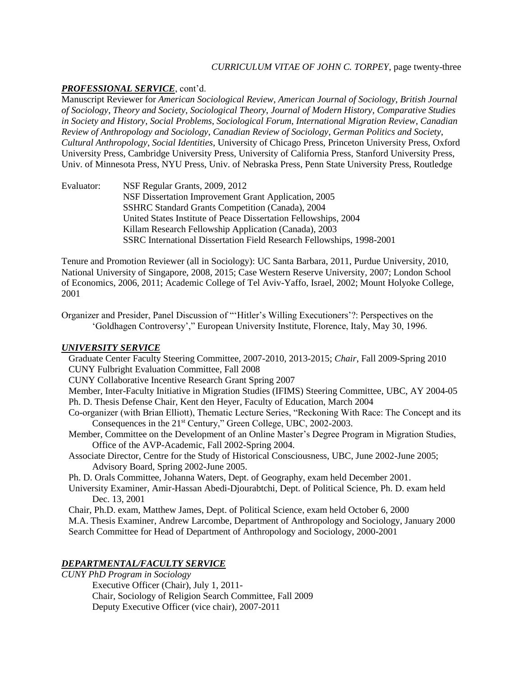# *CURRICULUM VITAE OF JOHN C. TORPEY*, page twenty-three

# *PROFESSIONAL SERVICE*, cont'd.

Manuscript Reviewer for *American Sociological Review*, *American Journal of Sociology*, *British Journal of Sociology*, *Theory and Society*, *Sociological Theory*, *Journal of Modern History*, *Comparative Studies in Society and History*, *Social Problems*, *Sociological Forum*, *International Migration Review*, *Canadian Review of Anthropology and Sociology*, *Canadian Review of Sociology*, *German Politics and Society*, *Cultural Anthropology*, *Social Identities*, University of Chicago Press, Princeton University Press, Oxford University Press, Cambridge University Press, University of California Press, Stanford University Press, Univ. of Minnesota Press, NYU Press, Univ. of Nebraska Press, Penn State University Press, Routledge

Evaluator: NSF Regular Grants, 2009, 2012 NSF Dissertation Improvement Grant Application, 2005 SSHRC Standard Grants Competition (Canada), 2004 United States Institute of Peace Dissertation Fellowships, 2004 Killam Research Fellowship Application (Canada), 2003 SSRC International Dissertation Field Research Fellowships, 1998-2001

Tenure and Promotion Reviewer (all in Sociology): UC Santa Barbara, 2011, Purdue University, 2010, National University of Singapore, 2008, 2015; Case Western Reserve University, 2007; London School of Economics, 2006, 2011; Academic College of Tel Aviv-Yaffo, Israel, 2002; Mount Holyoke College, 2001

Organizer and Presider, Panel Discussion of "'Hitler's Willing Executioners'?: Perspectives on the 'Goldhagen Controversy'," European University Institute, Florence, Italy, May 30, 1996.

# *UNIVERSITY SERVICE*

 Graduate Center Faculty Steering Committee, 2007-2010, 2013-2015; *Chair*, Fall 2009-Spring 2010 CUNY Fulbright Evaluation Committee, Fall 2008

CUNY Collaborative Incentive Research Grant Spring 2007

 Member, Inter-Faculty Initiative in Migration Studies (IFIMS) Steering Committee, UBC, AY 2004-05 Ph. D. Thesis Defense Chair, Kent den Heyer, Faculty of Education, March 2004

- Co-organizer (with Brian Elliott), Thematic Lecture Series, "Reckoning With Race: The Concept and its Consequences in the 21<sup>st</sup> Century," Green College, UBC, 2002-2003.
- Member, Committee on the Development of an Online Master's Degree Program in Migration Studies, Office of the AVP-Academic, Fall 2002-Spring 2004.
- Associate Director, Centre for the Study of Historical Consciousness, UBC, June 2002-June 2005; Advisory Board, Spring 2002-June 2005.

Ph. D. Orals Committee, Johanna Waters, Dept. of Geography, exam held December 2001.

 University Examiner, Amir-Hassan Abedi-Djourabtchi, Dept. of Political Science, Ph. D. exam held Dec. 13, 2001

Chair, Ph.D. exam, Matthew James, Dept. of Political Science, exam held October 6, 2000

 M.A. Thesis Examiner, Andrew Larcombe, Department of Anthropology and Sociology, January 2000 Search Committee for Head of Department of Anthropology and Sociology, 2000-2001

### *DEPARTMENTAL/FACULTY SERVICE*

*CUNY PhD Program in Sociology*

Executive Officer (Chair), July 1, 2011- Chair, Sociology of Religion Search Committee, Fall 2009 Deputy Executive Officer (vice chair), 2007-2011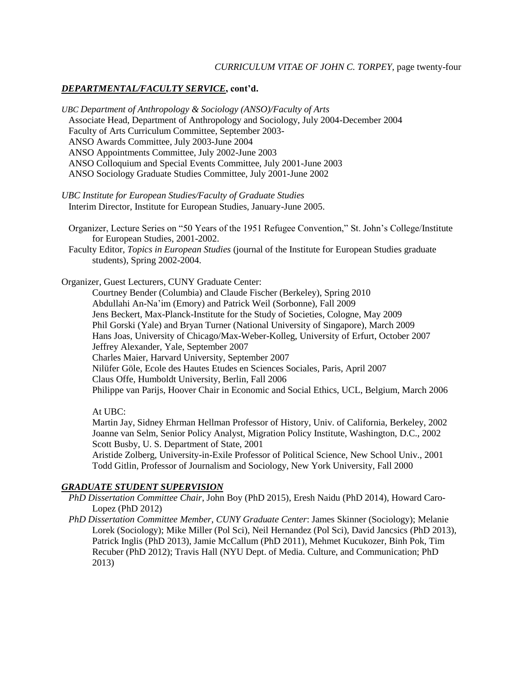# *CURRICULUM VITAE OF JOHN C. TORPEY*, page twenty-four

# *DEPARTMENTAL/FACULTY SERVICE***, cont'd.**

*UBC Department of Anthropology & Sociology (ANSO)/Faculty of Arts* Associate Head, Department of Anthropology and Sociology, July 2004-December 2004 Faculty of Arts Curriculum Committee, September 2003- ANSO Awards Committee, July 2003-June 2004 ANSO Appointments Committee, July 2002-June 2003 ANSO Colloquium and Special Events Committee, July 2001-June 2003 ANSO Sociology Graduate Studies Committee, July 2001-June 2002

*UBC Institute for European Studies/Faculty of Graduate Studies* Interim Director, Institute for European Studies, January-June 2005.

 Organizer, Lecture Series on "50 Years of the 1951 Refugee Convention," St. John's College/Institute for European Studies, 2001-2002.

 Faculty Editor, *Topics in European Studies* (journal of the Institute for European Studies graduate students), Spring 2002-2004.

Organizer, Guest Lecturers, CUNY Graduate Center:

Courtney Bender (Columbia) and Claude Fischer (Berkeley), Spring 2010 Abdullahi An-Na'im (Emory) and Patrick Weil (Sorbonne), Fall 2009 Jens Beckert, Max-Planck-Institute for the Study of Societies, Cologne, May 2009 Phil Gorski (Yale) and Bryan Turner (National University of Singapore), March 2009 Hans Joas, University of Chicago/Max-Weber-Kolleg, University of Erfurt, October 2007 Jeffrey Alexander, Yale, September 2007 Charles Maier, Harvard University, September 2007 Nilüfer Göle, Ecole des Hautes Etudes en Sciences Sociales, Paris, April 2007 Claus Offe, Humboldt University, Berlin, Fall 2006 Philippe van Parijs, Hoover Chair in Economic and Social Ethics, UCL, Belgium, March 2006

At UBC:

Martin Jay, Sidney Ehrman Hellman Professor of History, Univ. of California, Berkeley, 2002 Joanne van Selm, Senior Policy Analyst, Migration Policy Institute, Washington, D.C., 2002 Scott Busby, U. S. Department of State, 2001

Aristide Zolberg, University-in-Exile Professor of Political Science, New School Univ., 2001 Todd Gitlin, Professor of Journalism and Sociology, New York University, Fall 2000

### *GRADUATE STUDENT SUPERVISION*

- *PhD Dissertation Committee Chair*, John Boy (PhD 2015), Eresh Naidu (PhD 2014), Howard Caro-Lopez (PhD 2012)
- *PhD Dissertation Committee Member*, *CUNY Graduate Center*: James Skinner (Sociology); Melanie Lorek (Sociology); Mike Miller (Pol Sci), Neil Hernandez (Pol Sci), David Jancsics (PhD 2013), Patrick Inglis (PhD 2013), Jamie McCallum (PhD 2011), Mehmet Kucukozer, Binh Pok, Tim Recuber (PhD 2012); Travis Hall (NYU Dept. of Media. Culture, and Communication; PhD 2013)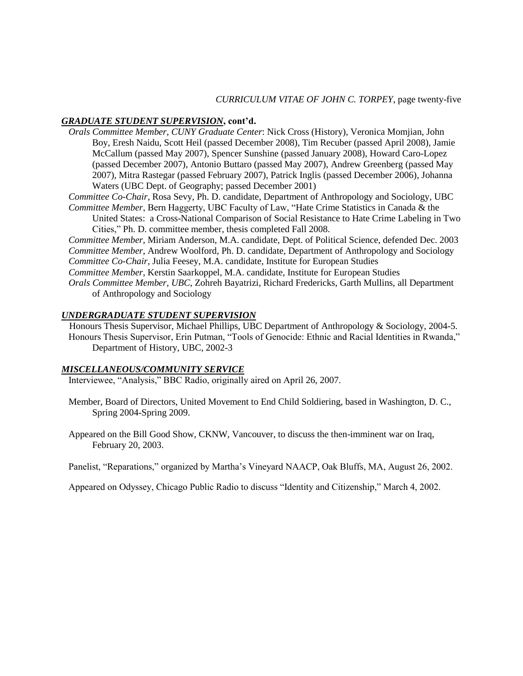### *CURRICULUM VITAE OF JOHN C. TORPEY*, page twenty-five

### *GRADUATE STUDENT SUPERVISION***, cont'd.**

- *Orals Committee Member*, *CUNY Graduate Center*: Nick Cross (History), Veronica Momjian, John Boy, Eresh Naidu, Scott Heil (passed December 2008), Tim Recuber (passed April 2008), Jamie McCallum (passed May 2007), Spencer Sunshine (passed January 2008), Howard Caro-Lopez (passed December 2007), Antonio Buttaro (passed May 2007), Andrew Greenberg (passed May 2007), Mitra Rastegar (passed February 2007), Patrick Inglis (passed December 2006), Johanna Waters (UBC Dept. of Geography; passed December 2001)
- *Committee Co-Chair*, Rosa Sevy, Ph. D. candidate, Department of Anthropology and Sociology, UBC  *Committee Member*, Bern Haggerty, UBC Faculty of Law, "Hate Crime Statistics in Canada & the
	- United States: a Cross-National Comparison of Social Resistance to Hate Crime Labeling in Two Cities," Ph. D. committee member, thesis completed Fall 2008.
- *Committee Member*, Miriam Anderson, M.A. candidate, Dept. of Political Science, defended Dec. 2003 *Committee Member*, Andrew Woolford, Ph. D. candidate, Department of Anthropology and Sociology *Committee Co-Chair*, Julia Feesey, M.A. candidate, Institute for European Studies
- *Committee Member*, Kerstin Saarkoppel, M.A. candidate, Institute for European Studies
- *Orals Committee Member*, *UBC*, Zohreh Bayatrizi, Richard Fredericks, Garth Mullins, all Department of Anthropology and Sociology

# *UNDERGRADUATE STUDENT SUPERVISION*

 Honours Thesis Supervisor, Michael Phillips, UBC Department of Anthropology & Sociology, 2004-5. Honours Thesis Supervisor, Erin Putman, "Tools of Genocide: Ethnic and Racial Identities in Rwanda," Department of History, UBC, 2002-3

#### *MISCELLANEOUS/COMMUNITY SERVICE*

Interviewee, "Analysis," BBC Radio, originally aired on April 26, 2007.

- Member, Board of Directors, United Movement to End Child Soldiering, based in Washington, D. C., Spring 2004-Spring 2009.
- Appeared on the Bill Good Show, CKNW, Vancouver, to discuss the then-imminent war on Iraq, February 20, 2003.

Panelist, "Reparations," organized by Martha's Vineyard NAACP, Oak Bluffs, MA, August 26, 2002.

Appeared on Odyssey, Chicago Public Radio to discuss "Identity and Citizenship," March 4, 2002.